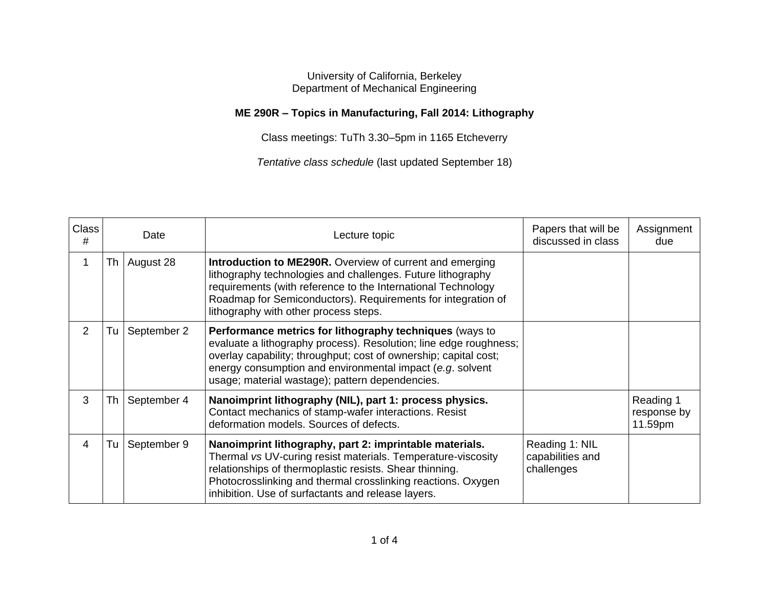## University of California, Berkeley Department of Mechanical Engineering

## **ME 290R – Topics in Manufacturing, Fall 2014: Lithography**

Class meetings: TuTh 3.30–5pm in 1165 Etcheverry

*Tentative class schedule* (last updated September 18)

| <b>Class</b><br># |    | Date        | Lecture topic                                                                                                                                                                                                                                                                                                    | Papers that will be<br>discussed in class        | Assignment<br>due                   |
|-------------------|----|-------------|------------------------------------------------------------------------------------------------------------------------------------------------------------------------------------------------------------------------------------------------------------------------------------------------------------------|--------------------------------------------------|-------------------------------------|
|                   | Th | August 28   | <b>Introduction to ME290R.</b> Overview of current and emerging<br>lithography technologies and challenges. Future lithography<br>requirements (with reference to the International Technology<br>Roadmap for Semiconductors). Requirements for integration of<br>lithography with other process steps.          |                                                  |                                     |
| 2                 | Tu | September 2 | Performance metrics for lithography techniques (ways to<br>evaluate a lithography process). Resolution; line edge roughness;<br>overlay capability; throughput; cost of ownership; capital cost;<br>energy consumption and environmental impact (e.g. solvent<br>usage; material wastage); pattern dependencies. |                                                  |                                     |
| 3                 | Th | September 4 | Nanoimprint lithography (NIL), part 1: process physics.<br>Contact mechanics of stamp-wafer interactions. Resist<br>deformation models. Sources of defects.                                                                                                                                                      |                                                  | Reading 1<br>response by<br>11.59pm |
| 4                 | Tu | September 9 | Nanoimprint lithography, part 2: imprintable materials.<br>Thermal vs UV-curing resist materials. Temperature-viscosity<br>relationships of thermoplastic resists. Shear thinning.<br>Photocrosslinking and thermal crosslinking reactions. Oxygen<br>inhibition. Use of surfactants and release layers.         | Reading 1: NIL<br>capabilities and<br>challenges |                                     |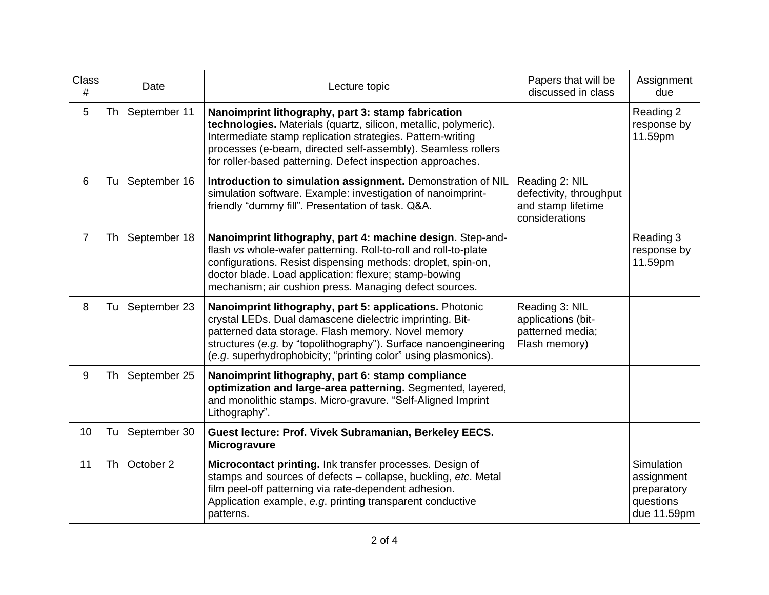| Class<br>#     |      | Date         | Lecture topic                                                                                                                                                                                                                                                                                                     | Papers that will be<br>discussed in class                                         | Assignment<br>due                                                          |
|----------------|------|--------------|-------------------------------------------------------------------------------------------------------------------------------------------------------------------------------------------------------------------------------------------------------------------------------------------------------------------|-----------------------------------------------------------------------------------|----------------------------------------------------------------------------|
| 5              | Th I | September 11 | Nanoimprint lithography, part 3: stamp fabrication<br>technologies. Materials (quartz, silicon, metallic, polymeric).<br>Intermediate stamp replication strategies. Pattern-writing<br>processes (e-beam, directed self-assembly). Seamless rollers<br>for roller-based patterning. Defect inspection approaches. |                                                                                   | Reading 2<br>response by<br>11.59pm                                        |
| 6              | Tu   | September 16 | Introduction to simulation assignment. Demonstration of NIL<br>simulation software. Example: investigation of nanoimprint-<br>friendly "dummy fill". Presentation of task. Q&A.                                                                                                                                   | Reading 2: NIL<br>defectivity, throughput<br>and stamp lifetime<br>considerations |                                                                            |
| $\overline{7}$ | Th   | September 18 | Nanoimprint lithography, part 4: machine design. Step-and-<br>flash vs whole-wafer patterning. Roll-to-roll and roll-to-plate<br>configurations. Resist dispensing methods: droplet, spin-on,<br>doctor blade. Load application: flexure; stamp-bowing<br>mechanism; air cushion press. Managing defect sources.  |                                                                                   | Reading 3<br>response by<br>11.59pm                                        |
| 8              | Tu   | September 23 | Nanoimprint lithography, part 5: applications. Photonic<br>crystal LEDs. Dual damascene dielectric imprinting. Bit-<br>patterned data storage. Flash memory. Novel memory<br>structures (e.g. by "topolithography"). Surface nanoengineering<br>(e.g. superhydrophobicity; "printing color" using plasmonics).    | Reading 3: NIL<br>applications (bit-<br>patterned media;<br>Flash memory)         |                                                                            |
| 9              | Th   | September 25 | Nanoimprint lithography, part 6: stamp compliance<br>optimization and large-area patterning. Segmented, layered,<br>and monolithic stamps. Micro-gravure. "Self-Aligned Imprint<br>Lithography".                                                                                                                  |                                                                                   |                                                                            |
| 10             | Tu   | September 30 | Guest lecture: Prof. Vivek Subramanian, Berkeley EECS.<br>Microgravure                                                                                                                                                                                                                                            |                                                                                   |                                                                            |
| 11             | Th   | October 2    | Microcontact printing. Ink transfer processes. Design of<br>stamps and sources of defects - collapse, buckling, etc. Metal<br>film peel-off patterning via rate-dependent adhesion.<br>Application example, e.g. printing transparent conductive<br>patterns.                                                     |                                                                                   | <b>Simulation</b><br>assignment<br>preparatory<br>questions<br>due 11.59pm |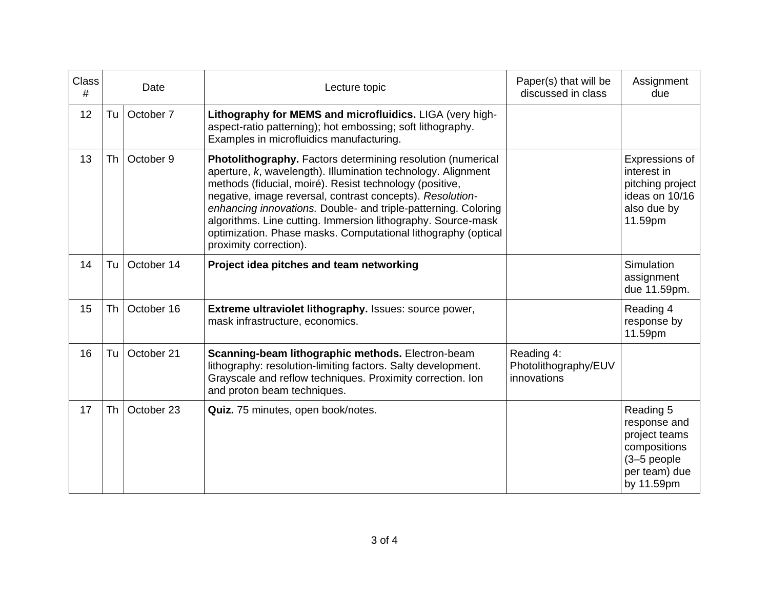| <b>Class</b><br># |    | Date       | Lecture topic                                                                                                                                                                                                                                                                                                                                                                                                                                                                    | Paper(s) that will be<br>discussed in class       | Assignment<br>due                                                                                          |
|-------------------|----|------------|----------------------------------------------------------------------------------------------------------------------------------------------------------------------------------------------------------------------------------------------------------------------------------------------------------------------------------------------------------------------------------------------------------------------------------------------------------------------------------|---------------------------------------------------|------------------------------------------------------------------------------------------------------------|
| 12                | Tu | October 7  | Lithography for MEMS and microfluidics. LIGA (very high-<br>aspect-ratio patterning); hot embossing; soft lithography.<br>Examples in microfluidics manufacturing.                                                                                                                                                                                                                                                                                                               |                                                   |                                                                                                            |
| 13                | Th | October 9  | Photolithography. Factors determining resolution (numerical<br>aperture, k, wavelength). Illumination technology. Alignment<br>methods (fiducial, moiré). Resist technology (positive,<br>negative, image reversal, contrast concepts). Resolution-<br>enhancing innovations. Double- and triple-patterning. Coloring<br>algorithms. Line cutting. Immersion lithography. Source-mask<br>optimization. Phase masks. Computational lithography (optical<br>proximity correction). |                                                   | Expressions of<br>interest in<br>pitching project<br>ideas on 10/16<br>also due by<br>11.59pm              |
| 14                | Tu | October 14 | Project idea pitches and team networking                                                                                                                                                                                                                                                                                                                                                                                                                                         |                                                   | Simulation<br>assignment<br>due 11.59pm.                                                                   |
| 15                | Th | October 16 | Extreme ultraviolet lithography. Issues: source power,<br>mask infrastructure, economics.                                                                                                                                                                                                                                                                                                                                                                                        |                                                   | Reading 4<br>response by<br>11.59pm                                                                        |
| 16                | Tu | October 21 | Scanning-beam lithographic methods. Electron-beam<br>lithography: resolution-limiting factors. Salty development.<br>Grayscale and reflow techniques. Proximity correction. Ion<br>and proton beam techniques.                                                                                                                                                                                                                                                                   | Reading 4:<br>Photolithography/EUV<br>innovations |                                                                                                            |
| 17                | Th | October 23 | Quiz. 75 minutes, open book/notes.                                                                                                                                                                                                                                                                                                                                                                                                                                               |                                                   | Reading 5<br>response and<br>project teams<br>compositions<br>$(3-5$ people<br>per team) due<br>by 11.59pm |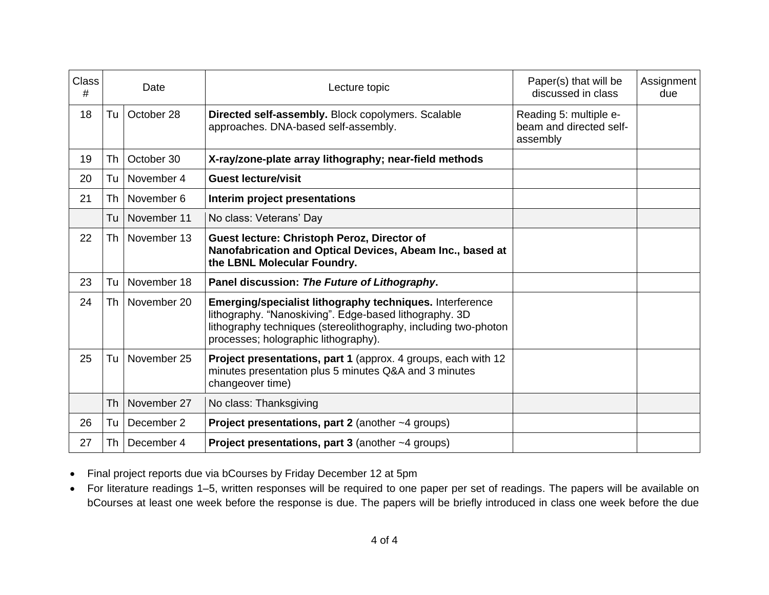| <b>Class</b><br># | Date      |             | Lecture topic                                                                                                                                                                                                                 | Paper(s) that will be<br>discussed in class                   | Assignment<br>due |
|-------------------|-----------|-------------|-------------------------------------------------------------------------------------------------------------------------------------------------------------------------------------------------------------------------------|---------------------------------------------------------------|-------------------|
| 18                | Tu        | October 28  | Directed self-assembly. Block copolymers. Scalable<br>approaches. DNA-based self-assembly.                                                                                                                                    | Reading 5: multiple e-<br>beam and directed self-<br>assembly |                   |
| 19                | Th        | October 30  | X-ray/zone-plate array lithography; near-field methods                                                                                                                                                                        |                                                               |                   |
| 20                | Tu        | November 4  | <b>Guest lecture/visit</b>                                                                                                                                                                                                    |                                                               |                   |
| 21                | Th        | November 6  | Interim project presentations                                                                                                                                                                                                 |                                                               |                   |
|                   | Tu        | November 11 | No class: Veterans' Day                                                                                                                                                                                                       |                                                               |                   |
| 22                | Th        | November 13 | Guest lecture: Christoph Peroz, Director of<br>Nanofabrication and Optical Devices, Abeam Inc., based at<br>the LBNL Molecular Foundry.                                                                                       |                                                               |                   |
| 23                | Tu        | November 18 | Panel discussion: The Future of Lithography.                                                                                                                                                                                  |                                                               |                   |
| 24                | Th        | November 20 | Emerging/specialist lithography techniques. Interference<br>lithography. "Nanoskiving". Edge-based lithography. 3D<br>lithography techniques (stereolithography, including two-photon<br>processes; holographic lithography). |                                                               |                   |
| 25                | Tu        | November 25 | <b>Project presentations, part 1 (approx. 4 groups, each with 12</b><br>minutes presentation plus 5 minutes Q&A and 3 minutes<br>changeover time)                                                                             |                                                               |                   |
|                   | <b>Th</b> | November 27 | No class: Thanksgiving                                                                                                                                                                                                        |                                                               |                   |
| 26                | Tu        | December 2  | <b>Project presentations, part 2</b> (another $~\sim$ 4 groups)                                                                                                                                                               |                                                               |                   |
| 27                | Th        | December 4  | <b>Project presentations, part 3</b> (another $~\sim$ 4 groups)                                                                                                                                                               |                                                               |                   |

- Final project reports due via bCourses by Friday December 12 at 5pm
- For literature readings 1–5, written responses will be required to one paper per set of readings. The papers will be available on bCourses at least one week before the response is due. The papers will be briefly introduced in class one week before the due